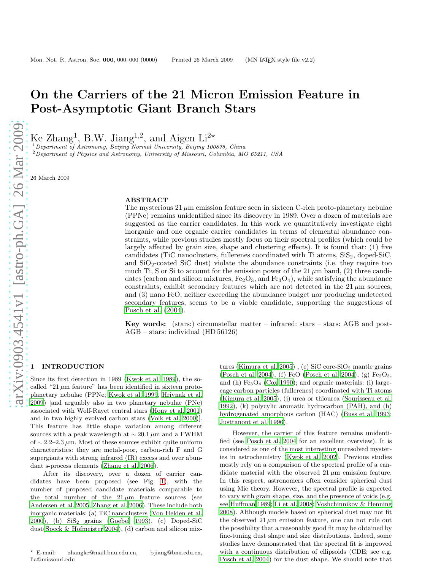# On the Carriers of the 21 Micron Emission Feature in Post-Asymptotic Giant Branch Stars

Ke Zhang<sup>1</sup>, B.W. Jiang<sup>1,2</sup>, and Aigen Li<sup>2\*</sup>

 $1$ Department of Astronomy, Beijing Normal University, Beijing 100875, China <sup>2</sup>Department of Physics and Astronomy, University of Missouri, Columbia, MO 65211, USA

26 March 2009

#### ABSTRACT

The mysterious  $21 \mu m$  emission feature seen in sixteen C-rich proto-planetary nebulae (PPNe) remains unidentified since its discovery in 1989. Over a dozen of materials are suggested as the carrier candidates. In this work we quantitatively investigate eight inorganic and one organic carrier candidates in terms of elemental abundance constraints, while previous studies mostly focus on their spectral profiles (which could be largely affected by grain size, shape and clustering effects). It is found that: (1) five candidates (TiC nanoclusters, fullerenes coordinated with Ti atoms,  $\text{SiS}_2$ , doped- $\text{SiC}$ , and  $SiO<sub>2</sub>$ -coated  $SiC$  dust) violate the abundance constraints (i.e. they require too much Ti, S or Si to account for the emission power of the 21  $\mu$ m band, (2) three candidates (carbon and silicon mixtures,  $Fe<sub>2</sub>O<sub>3</sub>$ , and  $Fe<sub>3</sub>O<sub>4</sub>$ ), while satisfying the abundance constraints, exhibit secondary features which are not detected in the  $21 \mu m$  sources, and (3) nano FeO, neither exceeding the abundance budget nor producing undetected secondary features, seems to be a viable candidate, supporting the suggestions of [Posch et al. \(2004\)](#page-8-0).

Key words: (stars:) circumstellar matter – infrared: stars – stars: AGB and post-AGB – stars: individual (HD 56126)

# **INTRODUCTION**

Since its first detection in 1989 [\(Kwok et al. 1989](#page-8-1)), the socalled "21  $\mu$ m feature" has been identified in sixteen protoplanetary nebulae (PPNe; [Kwok et al. 1999](#page-8-2), [Hrivnak et al.](#page-8-3) [2009](#page-8-3)) [and arguably also in two planetary nebulae (PNe) associated with Wolf-Rayet central stars [\(Hony et al. 2001](#page-8-4)) and in two highly evolved carbon stars [\(Volk et al. 2000](#page-8-5))]. This feature has little shape variation among different sources with a peak wavelength at  $\sim 20.1 \,\mu \text{m}$  and a FWHM of  $\sim$  2.2–2.3  $\mu$ m. Most of these sources exhibit quite uniform characteristics: they are metal-poor, carbon-rich F and G supergiants with strong infrared (IR) excess and over abundant s-process elements [\(Zhang et al. 2006](#page-8-6)).

After its discovery, over a dozen of carrier candidates have been proposed (see Fig. [1\)](#page-9-0), with the number of proposed candidate materials comparable to the total number of the  $21 \mu m$  feature sources (see [Andersen et al. 2005,](#page-7-0) [Zhang et al. 2006\)](#page-8-6). These include both inorganic materials: (a) TiC nanoclusters [\(Von Helden et al.](#page-8-7) [2000](#page-8-7)), (b) SiS<sup>2</sup> grains [\(Goebel 1993\)](#page-8-8), (c) Doped-SiC dust[\(Speck & Hofmeister 2004](#page-8-9)), (d) carbon and silicon mix-

tures [\(Kimura et al. 2005](#page-8-10)), (e) SiC core-SiO<sub>2</sub> mantle grains [\(Posch et al. 2004](#page-8-0)), (f) FeO [\(Posch et al. 2004](#page-8-0)), (g)  $Fe<sub>2</sub>O<sub>3</sub>$ , and (h)  $Fe<sub>3</sub>O<sub>4</sub>$  [\(Cox 1990](#page-7-1)); and organic materials: (i) largecage carbon particles (fullerenes) coordinated with Ti atoms [\(Kimura et al. 2005](#page-8-11)), (j) urea or thiourea [\(Sourisseau et al.](#page-8-12) [1992](#page-8-12)), (k) polycylic aromatic hydrocarbon (PAH), and (h) hydrogenated amorphous carbon (HAC) [\(Buss et al. 1993](#page-7-2); [Justtanont et al. 1996](#page-8-13)).

However, the carrier of this feature remains unidentified (see [Posch et al. 2004](#page-8-0) for an excellent overview). It is considered as one of the most interesting unresolved mysteries in astrochemistry [\(Kwok et al. 2002](#page-8-14)). Previous studies mostly rely on a comparison of the spectral profile of a candidate material with the observed  $21 \mu m$  emission feature. In this respect, astronomers often consider spherical dust using Mie theory. However, the spectral profile is expected to vary with grain shape, size, and the presence of voids (e.g. see [Huffman 1989;](#page-8-15) [Li et al. 2008](#page-8-16); [Voshchinnikov & Henning](#page-8-17) [2008](#page-8-17)). Although models based on spherical dust may not fit the observed  $21 \mu m$  emission feature, one can not rule out the possibility that a reasonably good fit may be obtained by fine-tuning dust shape and size distributions. Indeed, some studies have demonstrated that the spectral fit is improved with a continuous distribution of ellipsoids (CDE; see e.g. [Posch et al. 2004\)](#page-8-0) for the dust shape. We should note that

<sup>⋆</sup> E-mail: zhangke@mail.bnu.edu.cn, bjiang@bnu.edu.cn, lia@missouri.edu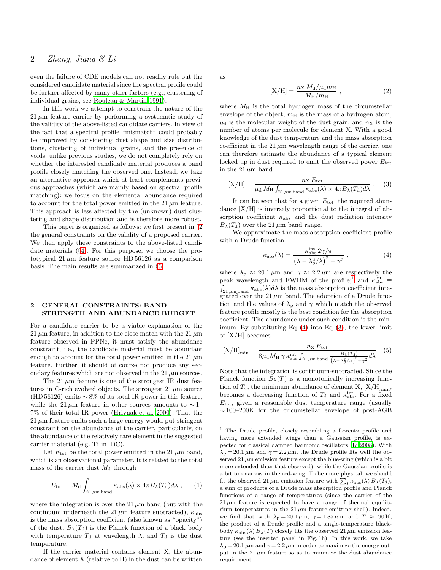even the failure of CDE models can not readily rule out the considered candidate material since the spectral profile could be further affected by many other factors (e.g., clustering of individual grains, see [Rouleau & Martin 1991](#page-8-18)).

In this work we attempt to constrain the nature of the  $21 \mu m$  feature carrier by performing a systematic study of the validity of the above-listed candidate carriers. In view of the fact that a spectral profile "mismatch" could probably be improved by considering dust shape and size distributions, clustering of individual grains, and the presence of voids, unlike previous studies, we do not completely rely on whether the interested candidate material produces a band profile closely matching the observed one. Instead, we take an alternative approach which at least complements previous approaches (which are mainly based on spectral profile matching): we focus on the elemental abundance required to account for the total power emitted in the 21  $\mu$ m feature. This approach is less affected by the (unknown) dust clustering and shape distribution and is therefore more robust.

This paper is organized as follows: we first present in §[2](#page-1-0) the general constraints on the validity of a proposed carrier. We then apply these constraints to the above-listed candidate materials (§[4\)](#page-2-0). For this purpose, we choose the prototypical  $21 \mu m$  feature source HD 56126 as a comparison basis. The main results are summarized in §[5.](#page-7-3)

# <span id="page-1-0"></span>2 GENERAL CONSTRAINTS: BAND STRENGTH AND ABUNDANCE BUDGET

For a candidate carrier to be a viable explanation of the 21  $\mu$ m feature, in addition to the close match with the 21  $\mu$ m feature observed in PPNe, it must satisfy the abundance constraint, i.e., the candidate material must be abundant enough to account for the total power emitted in the 21  $\mu$ m feature. Further, it should of course not produce any secondary features which are not observed in the 21  $\mu$ m sources.

The 21  $\mu$ m feature is one of the strongest IR dust features in C-rich evolved objects. The strongest  $21 \mu m$  source (HD 56126) emits  $\sim 8\%$  of its total IR power in this feature, while the 21  $\mu$ m feature in other sources amounts to ~1– 7% of their total IR power [\(Hrivnak et al. 2000](#page-8-19)). That the  $21 \mu m$  feature emits such a large energy would put stringent constraint on the abundance of the carrier, particularly, on the abundance of the relatively rare element in the suggested carrier material (e.g. Ti in TiC).

Let  $E_{\text{tot}}$  be the total power emitted in the 21  $\mu$ m band, which is an observational parameter. It is related to the total mass of the carrier dust  $M_d$  through

$$
E_{\rm tot} = M_{\rm d} \int_{21 \,\mu\text{m band}} \kappa_{\rm abs}(\lambda) \times 4\pi B_{\lambda}(T_{\rm d}) d\lambda \;, \qquad (1)
$$

where the integration is over the 21  $\mu$ m band (but with the continuum underneath the 21  $\mu$ m feature subtracted),  $\kappa_{\text{abs}}$ is the mass absorption coefficient (also known as "opacity") of the dust,  $B_{\lambda}(T_{d})$  is the Planck function of a black body with temperature  $T_d$  at wavelength  $\lambda$ , and  $T_d$  is the dust temperature.

If the carrier material contains element X, the abundance of element X (relative to H) in the dust can be written as

<span id="page-1-5"></span>
$$
[X/H] = \frac{n_X M_d / \mu_d m_H}{M_H / m_H} , \qquad (2)
$$

where  $M_H$  is the total hydrogen mass of the circumstellar envelope of the object,  $m<sub>H</sub>$  is the mass of a hydrogen atom,  $\mu_d$  is the molecular weight of the dust grain, and  $n_X$  is the number of atoms per molecule for element X. With a good knowledge of the dust temperature and the mass absorption coefficient in the  $21 \mu m$  wavelength range of the carrier, one can therefore estimate the abundance of a typical element locked up in dust required to emit the observed power  $E_{\text{tot}}$ in the  $21 \mu m$  band

<span id="page-1-3"></span>
$$
[X/H] = \frac{n_X E_{\text{tot}}}{\mu_{\text{d}} M_{\text{H}} \int_{21 \,\mu\text{m band}} \kappa_{\text{abs}}(\lambda) \times 4\pi B_{\lambda}(T_{\text{d}}) d\lambda} \ . \tag{3}
$$

It can be seen that for a given  $E_{\text{tot}}$ , the required abundance  $[X/H]$  is inversely proportional to the integral of absorption coefficient  $\kappa_{\text{abs}}$  and the dust radiation intensity  $B_{\lambda}(T_{\rm d})$  over the 21  $\mu$ m band range.

We approximate the mass absorption coefficient profile with a Drude function

<span id="page-1-2"></span>
$$
\kappa_{\rm abs}(\lambda) = \frac{\kappa_{\rm abs}^{\rm int} 2\gamma/\pi}{\left(\lambda - \lambda_{\rm p}^2/\lambda\right)^2 + \gamma^2} \,,\tag{4}
$$

where  $\lambda_{\rm p} \approx 20.1 \,\mu{\rm m}$  and  $\gamma \approx 2.2 \,\mu{\rm m}$  are respectively the peak wavelength and FWHM of the profile;<sup>[1](#page-1-1)</sup> and  $\kappa_{\rm abs}^{\rm int}$   $\equiv$  $\int_{21 \mu m \text{ band}} \kappa_{\text{abs}}(\lambda) d\lambda$  is the mass absorption coefficient integrated over the  $21 \mu m$  band. The adoption of a Drude function and the values of  $\lambda_{\rm p}$  and  $\gamma$  which match the observed feature profile mostly is the best condition for the absorption coefficient. The abundance under such condition is the minimum. By substituting Eq. [\(4\)](#page-1-2) into Eq. [\(3\)](#page-1-3), the lower limit of  $[X/H]$  becomes

<span id="page-1-4"></span>
$$
[X/H]_{\min} = \frac{n_X E_{\text{tot}}}{8\mu_d M_H \gamma \kappa_{\text{abs}}^{\text{int}} \int_{21 \mu \text{m band}} \frac{B_\lambda(T_\text{d})}{(\lambda - \lambda_p^2/\lambda)^2 + \gamma^2} d\lambda} \ . \tag{5}
$$

Note that the integration is continuum-subtracted. Since the Planck function  $B_{\lambda}(T)$  is a monotonically increasing function of  $T_d$ , the minimum abundance of element X,  $[X/H]_{min}$ , becomes a decreasing function of  $T_d$  and  $\kappa_{\text{abs}}^{\text{int}}$ . For a fixed  $E_{\text{tot}}$ , given a reasonable dust temperature range (usually  $\sim$  100–200K for the circumstellar envelope of post-AGB

<span id="page-1-1"></span><sup>1</sup> The Drude profile, closely resembling a Lorentz profile and having more extended wings than a Gaussian profile, is expected for classical damped harmonic oscillators [\(Li 2008\)](#page-8-20). With  $\lambda_p = 20.1 \,\mu \text{m}$  and  $\gamma = 2.2 \,\mu \text{m}$ , the Drude profile fits well the observed 21  $\mu$ m emission feature except the blue-wing (which is a bit more extended than that observed), while the Gaussian profile is a bit too narrow in the red-wing. To be more physical, we should fit the observed 21  $\mu$ m emission feature with  $\sum_j \kappa_{\text{abs}}(\lambda) B_{\lambda}(T_j)$ , a sum of products of a Drude mass absorption profile and Planck functions of a range of temperatures (since the carrier of the  $21 \mu m$  feature is expected to have a range of thermal equilibrium temperatures in the  $21 \mu$ m-feature-emitting shell). Indeed, we find that with  $\lambda_p = 20.1 \,\mu\text{m}$ ,  $\gamma = 1.85 \,\mu\text{m}$ , and  $T \approx 90 \,\text{K}$ , the product of a Drude profile and a single-temperature blackbody  $\kappa_{\text{abs}}(\lambda) B_{\lambda}(T)$  closely fits the observed 21  $\mu$ m emission feature (see the inserted panel in Fig. 1h). In this work, we take  $\lambda_p = 20.1 \,\mu\text{m}$  and  $\gamma = 2.2 \,\mu\text{m}$  in order to maximize the energy output in the  $21 \mu m$  feature so as to minimize the dust abundance requirement.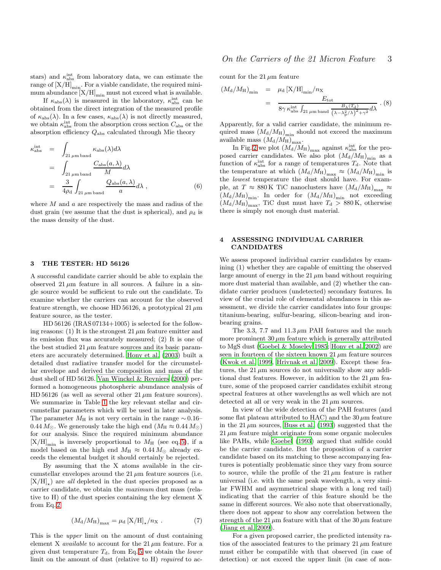stars) and  $\kappa_{\rm abs}^{\rm int}$  from laboratory data, we can estimate the range of  $\left[\text{X/H}\right]_{\text{min}}.$  For a viable candidate, the required minimum abundance  $[X/H]_{min}$  must not exceed what is available.

If  $\kappa_{\text{abs}}(\lambda)$  is measured in the laboratory,  $\kappa_{\text{abs}}^{\text{int}}$  can be obtained from the direct integration of the measured profile of  $\kappa_{\rm abs}(\lambda)$ . In a few cases,  $\kappa_{\rm abs}(\lambda)$  is not directly measured, we obtain  $\kappa_{\rm abs}^{\rm int}$  from the absorption cross section  $C_{\rm abs}$  or the absorption efficiency  $Q_{\rm abs}$  calculated through Mie theory

$$
\kappa_{\rm abs}^{\rm int} = \int_{21 \,\mu\rm m \, \rm band} \kappa_{\rm abs}(\lambda) d\lambda
$$
  
= 
$$
\int_{21 \,\mu\rm m \, \rm band} \frac{C_{\rm abs}(a,\lambda)}{M} d\lambda
$$
  
= 
$$
\frac{3}{4\rho_{\rm d}} \int_{21 \,\mu\rm m \, \rm band} \frac{Q_{\rm abs}(a,\lambda)}{a} d\lambda , \qquad (6)
$$

where  $M$  and  $a$  are respectively the mass and radius of the dust grain (we assume that the dust is spherical), and  $\rho_d$  is the mass density of the dust.

#### 3 THE TESTER: HD 56126

A successful candidate carrier should be able to explain the observed  $21 \mu m$  feature in all sources. A failure in a single source would be sufficient to rule out the candidate. To examine whether the carriers can account for the observed feature strength, we choose HD 56126, a prototypical 21  $\mu$ m feature source, as the tester.

HD 56126 (IRAS 07134+1005) is selected for the following reasons: (1) It is the strongest  $21 \mu m$  feature emitter and its emission flux was accurately measured; (2) It is one of the best studied  $21 \mu m$  feature sources and its basic parameters are accurately determined. [Hony et al. \(2003\)](#page-8-21) built a detailed dust radiative transfer model for the circumstellar envelope and derived the composition and mass of the dust shell of HD 56126. [Van Winckel & Reyniers \(2000](#page-8-22)) performed a homogeneous photospheric abundance analysis of HD 56126 (as well as several other  $21 \mu m$  feature sources). We summarize in Table [1](#page-11-0) the key relevant stellar and circumstellar parameters which will be used in later analysis. The parameter  $M_H$  is not very certain in the range  $\sim 0.16$ – 0.44  $M_{\odot}$ . We generously take the high end  $(M_{\rm H} \approx 0.44 M_{\odot})$ for our analysis. Since the required minimum abundance  $[X/H]_{\text{min}}$  is inversely proportional to  $M_{\text{H}}$  (see eq. [5\)](#page-1-4), if a model based on the high end  $M_H \approx 0.44 M_{\odot}$  already exceeds the elemental budget it should certainly be rejected.

By assuming that the X atoms available in the circumstellar envelopes around the  $21 \mu m$  feature sources (i.e.  $[X/H]_{\star}$ ) are *all* depleted in the dust species proposed as a carrier candidate, we obtain the maximum dust mass (relative to H) of the dust species containing the key element X from Eq. [2](#page-1-5)

$$
(M_{\rm d}/M_{\rm H})_{\rm max} = \mu_{\rm d} \left[ X/H \right]_{\star}/n_{\rm X} \ . \tag{7}
$$

This is the upper limit on the amount of dust containing element X *available* to account for the  $21 \mu m$  feature. For a given dust temperature  $T<sub>d</sub>$ , from Eq. [5](#page-1-4) we obtain the lower limit on the amount of dust (relative to H) required to ac-

# On the Carriers of the 21 Micron Feature 3

count for the 21  $\mu$ m feature

$$
(M_{\rm d}/M_{\rm H})_{\rm min} = \mu_{\rm d} \left[ \text{X/H} \right]_{\rm min}/n_{\rm X}
$$
  
= 
$$
\frac{E_{\rm tot}}{8\gamma \kappa_{\rm abs}^{\rm int} \int_{21 \mu \rm m \text{ band}} \frac{B_{\lambda}(T_{\rm d})}{\left(\lambda - \lambda_{\rm p}^2/\lambda\right)^2 + \gamma^2} d\lambda} \ . \ (8)
$$

Apparently, for a valid carrier candidate, the minimum required mass  $(M_d/M_H)_{\text{min}}$  should not exceed the maximum available mass  $\left(M_{\mathrm{d}}/M_{\mathrm{H}}\right)_{\mathrm{max}}$ .

In Fig. [2](#page-10-0) we plot  $(M_d/M_H)_{\text{max}}$  against  $\kappa_{\text{abs}}^{\text{int}}$  for the proposed carrier candidates. We also plot  $(M_d/M_H)_{min}$  as a function of  $\kappa_{\rm abs}^{\rm int}$  for a range of temperatures  $T_{\rm d}$ . Note that the temperature at which  $(M_d/M_H)_{max} \approx (M_d/M_H)_{min}$  is the lowest temperature the dust should have. For example, at T  $\approx$  880 K TiC nanoclusters have  $(M_d/M_H)_{\text{max}} \approx$  $(M_d/M_H)_{\text{min}}$ . In order for  $(M_d/M_H)_{\text{min}}$  not exceeding  $(M_d/M_H)_{\text{max}}$ , TiC dust must have  $T_d > 880$  K, otherwise there is simply not enough dust material.

# <span id="page-2-0"></span>4 ASSESSING INDIVIDUAL CARRIER CANDIDATES

We assess proposed individual carrier candidates by examining (1) whether they are capable of emitting the observed large amount of energy in the 21  $\mu$ m band without requiring more dust material than available, and (2) whether the candidate carrier produces (undetected) secondary features. In view of the crucial role of elemental abundances in this assessment, we divide the carrier candidates into four groups: titanium-bearing, sulfur-bearing, silicon-bearing and ironbearing grains.

The 3.3, 7.7 and 11.3  $\mu$ m PAH features and the much more prominent  $30 \mu m$  feature which is generally attributed to MgS dust [\(Goebel & Moseley 1985;](#page-8-23) [Hony et al. 2002\)](#page-8-24) are seen in fourteen of the sixteen known  $21 \mu m$  feature sources [\(Kwok et al. 1999,](#page-8-2) [Hrivnak et al. 2009\)](#page-8-3). Except these features, the  $21 \mu m$  sources do not universally show any additional dust features. However, in addition to the 21  $\mu$ m feature, some of the proposed carrier candidates exhibit strong spectral features at other wavelengths as well which are not detected at all or very weak in the  $21 \mu m$  sources.

In view of the wide detection of the PAH features (and some flat plateau attributed to HAC) and the  $30 \mu m$  feature in the 21  $\mu$ m sources, [Buss et al. \(1993](#page-7-2)) suggested that the  $21 \mu m$  feature might originate from some organic molecules like PAHs, while [Goebel \(1993](#page-8-8)) argued that sulfide could be the carrier candidate. But the proposition of a carrier candidate based on its matching to these accompanying features is potentially problematic since they vary from source to source, while the profile of the  $21 \mu m$  feature is rather universal (i.e. with the same peak wavelength, a very similar FWHM and asymmetrical shape with a long red tail) indicating that the carrier of this feature should be the same in different sources. We also note that observationally, there does not appear to show any correlation between the strength of the 21  $\mu$ m feature with that of the 30  $\mu$ m feature [\(Jiang et al. 2009](#page-8-25)).

For a given proposed carrier, the predicted intensity ratios of the associated features to the primary  $21 \mu m$  feature must either be compatible with that observed (in case of detection) or not exceed the upper limit (in case of non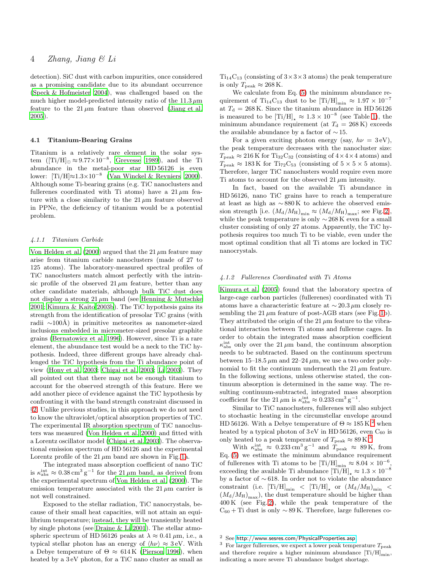detection). SiC dust with carbon impurities, once considered as a promising candidate due to its abundant occurrence [\(Speck & Hofmeister 2004](#page-8-9)), was challenged based on the much higher model-predicted intensity ratio of the  $11.3 \mu m$ feature to the  $21 \mu m$  feature than observed [\(Jiang et al.](#page-8-26) [2005](#page-8-26)).

### 4.1 Titanium-Bearing Grains

Titanium is a relatively rare element in the solar system ([Ti/H] $_{\odot} \approx 9.77 \times 10^{-8}$ , [Grevesse 1989](#page-8-27)), and the Ti abundance in the metal-poor star HD 56126 is even lower:  $[Ti/H] \approx 1.3 \times 10^{-8}$  [\(Van Winckel & Reyniers 2000](#page-8-22)). Although some Ti-bearing grains (e.g. TiC nanoclusters and fullerenes coordinated with Ti atoms) have a  $21 \mu m$  feature with a close similarity to the  $21 \mu m$  feature observed in PPNe, the deficiency of titanium would be a potential problem.

# 4.1.1 Titanium Carbide

[Von Helden et al. \(2000](#page-8-7)) argued that the 21  $\mu$ m feature may arise from titanium carbide nanoclusters (made of 27 to 125 atoms). The laboratory-measured spectral profiles of TiC nanoclusters match almost perfectly with the intrinsic profile of the observed  $21 \mu m$  feature, better than any other candidate materials, although bulk TiC dust does not display a strong  $21 \mu m$  band (see [Henning & Mutschke](#page-8-28) [2001](#page-8-28); [Kimura & Kaito 2003b](#page-8-29)). The TiC hypothesis gains its strength from the identification of presolar TiC grains (with radii  $\sim$ 100Å) in primitive meteorites as nanometer-sized inclusions embedded in micrometer-sized presolar graphite grains [\(Bernatowicz et al. 1996](#page-7-4)). However, since Ti is a rare element, the abundance test would be a neck to the TiC hypothesis. Indeed, three different groups have already challenged the TiC hypothesis from the Ti abundance point of view [\(Hony et al. 2003;](#page-8-21) [Chigai et al. 2003](#page-7-5); [Li 2003](#page-8-30)). They all pointed out that there may not be enough titanium to account for the observed strength of this feature. Here we add another piece of evidence against the TiC hypothesis by confronting it with the band strength constraint discussed in §[2.](#page-1-0) Unlike previous studies, in this approach we do not need to know the ultraviolet/optical absorption properties of TiC. The experimental IR absorption spectrum of TiC nanoclusters was measured [\(Von Helden et al. 2000](#page-8-7)) and fitted with a Lorentz oscillator model [\(Chigai et al. 2003](#page-7-5)). The observational emission spectrum of HD 56126 and the experimental Lorentz profile of the  $21 \mu m$  band are shown in Fig. [1a](#page-9-0).

The integrated mass absorption coefficient of nano TiC is  $\kappa_{\rm abs}^{\rm int} \approx 0.38 \,\rm cm^3 \, g^{-1}$  for the 21  $\mu$ m band, as derived from the experimental spectrum of [Von Helden et al. \(2000](#page-8-7)). The emission temperature associated with the 21  $\mu$ m carrier is not well constrained.

Exposed to the stellar radiation, TiC nanocrystals, because of their small heat capacities, will not attain an equilibrium temperature; instead, they will be transiently heated by single photons (see [Draine & Li 2001](#page-7-6)). The stellar atmospheric spectrum of HD 56126 peaks at  $\lambda \approx 0.41 \,\mu$ m, i.e., a typical stellar photon has an energy of  $\langle h\nu \rangle \approx 3$  eV. With a Debye temperature of  $\Theta \approx 614 \text{ K}$  [\(Pierson 1996\)](#page-8-31), when heated by a 3 eV photon, for a TiC nano cluster as small as  $Ti<sub>14</sub>C<sub>13</sub>$  (consisting of  $3 \times 3 \times 3$  atoms) the peak temperature is only  $T_{\text{peak}} \approx 268 \text{ K}.$ 

We calculate from Eq. [\(5\)](#page-1-4) the minimum abundance requirement of Ti<sub>14</sub>C<sub>13</sub> dust to be [Ti/H]<sub>min</sub>  $\approx 1.97 \times 10^{-7}$ at  $T_{\rm d}$  = 268 K. Since the titanium abundance in HD 56126 is measured to be  $\text{[Ti/H]}_{\star} \approx 1.3 \times 10^{-8}$  (see Table [1\)](#page-11-0), the minimum abundance requirement (at  $T<sub>d</sub> = 268$  K) exceeds the available abundance by a factor of  $\sim$  15.

For a given exciting photon energy (say,  $h\nu = 3$  eV), the peak temperature decreases with the nanocluster size:  $T_{\text{peak}} \approx 216 \,\text{K}$  for Ti<sub>32</sub>C<sub>32</sub> (consisting of  $4 \times 4 \times 4$  atoms) and  $T_{\text{peak}} \approx 183 \,\text{K}$  for Ti<sub>72</sub>C<sub>53</sub> (consisting of  $5 \times 5 \times 5$  atoms). Therefore, larger TiC nanoclusters would require even more Ti atoms to account for the observed 21  $\mu$ m intensity.

In fact, based on the available Ti abundance in HD 56126, nano TiC grains have to reach a temperature at least as high as  $\sim 880 \,\mathrm{K}$  to achieve the observed emission strength [i.e.  $(M_d/M_H)_{\text{min}} \approx (M_d/M_H)_{\text{max}}$ ; see Fig. [2\]](#page-10-0), while the peak temperature is only  $\sim$  268 K even for a small cluster consisting of only 27 atoms. Apparently, the TiC hypothesis requires too much Ti to be viable, even under the most optimal condition that all Ti atoms are locked in TiC nanocrystals.

# 4.1.2 Fullerenes Coordinated with Ti Atoms

[Kimura et al. \(2005](#page-8-11)) found that the laboratory spectra of large-cage carbon particles (fullerenes) coordinated with Ti atoms have a characteristic feature at  $\sim$  20.3 µm closely resembling the 21  $\mu$ m feature of post-AGB stars (see Fig. [1b](#page-9-0)). They attributed the origin of the 21  $\mu$ m feature to the vibrational interaction between Ti atoms and fullerene cages. In order to obtain the integrated mass absorption coefficient  $\kappa_{\rm abs}^{\rm int}$  only over the 21  $\mu$ m band, the continuum absorption needs to be subtracted. Based on the continuum spectrum between 15–18.5  $\mu$ m and 22–24  $\mu$ m, we use a two order polynomial to fit the continuum underneath the 21  $\mu$ m feature. In the following sections, unless otherwise stated, the continuum absorption is determined in the same way. The resulting continuum-subtracted, integrated mass absorption coefficient for the 21  $\mu$ m is  $\kappa_{\text{abs}}^{\text{int}} \approx 0.233 \text{ cm}^3 \text{ g}^{-1}$ .

Similar to TiC nanoclusters, fullerenes will also subject to stochastic heating in the circumstellar envelope around HD 561[2](#page-3-0)6. With a Debye temperature of  $\Theta \approx 185 \text{ K}^2$ , when heated by a typical photon of  $3 \text{ eV}$  in HD 56126, even  $C_{60}$  is only heated to a peak temperature of  $T_{\text{peak}} \approx 89 \,\text{K}^3$  $T_{\text{peak}} \approx 89 \,\text{K}^3$ 

With  $\kappa_{\text{abs}}^{\text{int}} \approx 0.233 \text{ cm}^3 \text{ g}^{-1}$  and  $T_{\text{peak}} \approx 89 \text{ K}$ , from Eq. [\(5\)](#page-1-4) we estimate the minimum abundance requirement of fullerenes with Ti atoms to be  $\text{[Ti/H]}_{\text{min}} \approx 8.04 \times 10^{-6}$ exceeding the available Ti abundance  $\mathrm{[Ti/H]}_{\star}\approx1.3\times10^{-8}$ by a factor of ∼ 618. In order not to violate the abundance constraint (i.e.  $[\text{Ti/H}]_{\text{min}}$  <  $[\text{Ti/H}]_{\star}$  or  $(M_{\text{d}}/M_{\text{H}})_{\text{min}}$  <  $(M_d/M_H)_{\text{max}}$ , the dust temperature should be higher than 400 K (see Fig. [2\)](#page-10-0), while the peak temperature of the  $C_{60}$  + Ti dust is only  $\sim$  89 K. Therefore, large fullerenes co-

<sup>2</sup> See <http://www.sesres.com/PhysicalProperties.asp>.

<span id="page-3-1"></span><span id="page-3-0"></span> $3$  For larger fullerenes, we expect a lower peak temperature  $T_{\text{peak}}$ and therefore require a higher minimum abundance  $[Ti/H]_{min}$ , indicating a more severe Ti abundance budget shortage.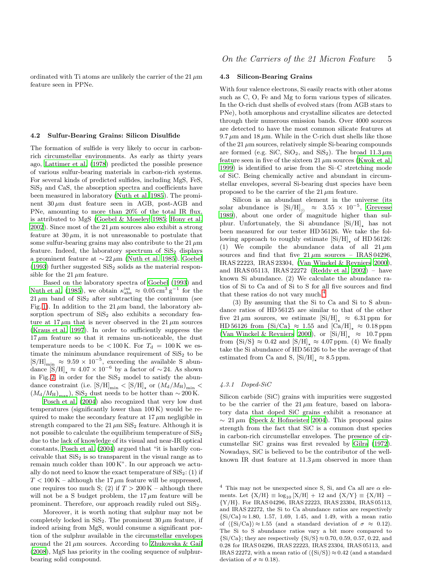ordinated with Ti atoms are unlikely the carrier of the 21  $\mu$ m feature seen in PPNe.

#### 4.2 Sulfur-Bearing Grains: Silicon Disulfide

The formation of sulfide is very likely to occur in carbonrich circumstellar environments. As early as thirty years ago, [Lattimer et al. \(1978\)](#page-8-32) predicted the possible presence of various sulfur-bearing materials in carbon-rich systems. For several kinds of predicted sulfides, including MgS, FeS,  $SiS<sub>2</sub>$  and CaS, the absorption spectra and coefficients have been measured in laboratory [\(Nuth et al. 1985](#page-8-33)). The prominent  $30 \mu m$  dust feature seen in AGB, post-AGB and PNe, amounting to more than 20% of the total IR flux, is attributed to MgS [\(Goebel & Moseley 1985](#page-8-23); [Hony et al.](#page-8-24) [2002](#page-8-24)). Since most of the 21  $\mu$ m sources also exhibit a strong feature at  $30 \mu m$ , it is not unreasonable to postulate that some sulfur-bearing grains may also contribute to the 21  $\mu$ m feature. Indeed, the laboratory spectrum of  $SiS<sub>2</sub>$  displays a prominent feature at ∼ 22 µm [\(Nuth et al. 1985](#page-8-33)). [Goebel](#page-8-8)  $(1993)$  $(1993)$  further suggested  $SiS<sub>2</sub>$  solids as the material responsible for the 21  $\mu$ m feature.

Based on the laboratory spectra of [Goebel \(1993](#page-8-8)) and [Nuth et al. \(1985](#page-8-33)), we obtain  $\kappa_{\rm abs}^{\rm int} \approx 0.05 \,\rm cm^3 \, g^{-1}$  for the  $21 \mu m$  band of SiS<sub>2</sub> after subtracting the continuum (see Fig. [1\)](#page-9-0). In addition to the 21  $\mu$ m band, the laboratory absorption spectrum of  $SiS<sub>2</sub>$  also exhibits a secondary feature at  $17 \mu m$  that is never observed in the  $21 \mu m$  sources [\(Kraus et al. 1997\)](#page-8-34). In order to sufficiently suppress the  $17 \mu m$  feature so that it remains un-noticeable, the dust temperature needs to be  $< 100 \text{ K}$ . For  $T<sub>d</sub> = 100 \text{ K}$  we estimate the minimum abundance requirement of  $SiS<sub>2</sub>$  to be  $[S/H]_{\text{min}} \approx 9.59 \times 10^{-5}$ , exceeding the available S abundance  $[S/H]_{\star} \approx 4.07 \times 10^{-6}$  by a factor of ~24. As shown in Fig. [2,](#page-10-0) in order for the  $SiS<sub>2</sub>$  model to satisfy the abundance constraint (i.e.  $[S/H]_{\text{min}} < [S/H]_{\star}$  or  $(M_d/M_H)_{\text{min}} <$  $(M_d/M_H)_{\text{max}}$ , SiS<sub>2</sub> dust needs to be hotter than ~200 K.

[Posch et al. \(2004](#page-8-0)) also recognized that very low dust temperatures (significantly lower than 100 K) would be required to make the secondary feature at  $17 \mu m$  negligible in strength compared to the 21  $\mu$ m SiS<sub>2</sub> feature. Although it is not possible to calculate the equilibrium temperature of  $\text{SiS}_2$ due to the lack of knowledge of its visual and near-IR optical constants, [Posch et al. \(2004\)](#page-8-0) argued that "it is hardly conceivable that  $SiS<sub>2</sub>$  is so transparent in the visual range as to remain much colder than 100 K". In our approach we actually do not need to know the exact temperature of  $\text{SiS}_2$ : (1) if  $T < 100 \text{ K}$  – although the 17  $\mu$ m feature will be suppressed, one requires too much S; (2) if  $T > 200 \text{ K}$  – although there will not be a S budget problem, the  $17 \mu m$  feature will be prominent. Therefore, our approach readily ruled out  $SiS<sub>2</sub>$ .

Moreover, it is worth noting that sulphur may not be completely locked in SiS<sub>2</sub>. The prominent  $30 \mu m$  feature, if indeed arising from MgS, would consume a significant portion of the sulphur available in the circumstellar envelopes around the 21  $\mu$ m sources. According to [Zhukovska & Gail](#page-8-35) [\(2008](#page-8-35)), MgS has priority in the cooling sequence of sulphurbearing solid compound.

#### 4.3 Silicon-Bearing Grains

With four valence electrons, Si easily reacts with other atoms such as C, O, Fe and Mg to form various types of silicates. In the O-rich dust shells of evolved stars (from AGB stars to PNe), both amorphous and crystalline silicates are detected through their numerous emission bands. Over 4000 sources are detected to have the most common silicate features at  $9.7 \mu m$  and  $18 \mu m$ . While in the C-rich dust shells like those of the 21  $\mu$ m sources, relatively simple Si-bearing compounds are formed (e.g. SiC, SiO<sub>2</sub>, and SiS<sub>2</sub>). The broad  $11.3 \,\mu$ m feature seen in five of the sixteen 21  $\mu$ m sources [\(Kwok et al.](#page-8-2) [1999](#page-8-2)) is identified to arise from the Si–C stretching mode of SiC. Being chemically active and abundant in circumstellar envelopes, several Si-bearing dust species have been proposed to be the carrier of the  $21 \mu m$  feature.

Silicon is an abundant element in the universe (its solar abundance is  $[Si/H]_{\odot} \approx 3.55 \times 10^{-5}$ , [Grevesse](#page-8-27) [1989](#page-8-27)), about one order of magnitude higher than sulphur. Unfortunately, the Si abundance  $[Si/H]_{\star}$  has not been measured for our tester HD 56126. We take the following approach to roughly estimate  $[Si/H]_{\star}$  of HD 56126: (1) We compile the abundance data of all  $21 \mu m$ sources and find that five  $21 \mu m$  sources – IRAS 04296, IRAS 22223, IRAS 23304, [\(Van Winckel & Reyniers 2000](#page-8-22)), and IRAS 05113, IRAS 22272 [\(Reddy et al. 2002\)](#page-8-36) – have known Si abundance. (2) We calculate the abundance ratios of Si to Ca and of Si to S for all five sources and find that these ratios do not vary much. $4$ 

(3) By assuming that the Si to Ca and Si to S abundance ratios of HD 56125 are similar to that of the other five 21  $\mu$ m sources, we estimate [Si/H]  $\approx$  6.31 ppm for HD 56126 from  $\{Si/Ca\} \approx 1.55$  and  $\{Ca/H\}$ <sub>+</sub>  $\approx 0.18$  ppm [\(Van Winckel & Reyniers 2000](#page-8-22)), or  $[Si/H]_{\star} \approx 10.7$  ppm from  $\{Si/S\} \approx 0.42$  and  $[S/H]_{\star} \approx 4.07$  ppm. (4) We finally take the Si abundance of HD 56126 to be the average of that estimated from Ca and S,  $[Si/H]_ \simeq 8.5$  ppm.

# 4.3.1 Doped-SiC

Silicon carbide (SiC) grains with impurities were suggested to be the carrier of the  $21 \mu m$  feature, based on laboratory data that doped SiC grains exhibit a resonance at  $\sim 21 \,\mu\text{m}$  [\(Speck & Hofmeister 2004](#page-8-9)). This proposal gains strength from the fact that SiC is a common dust species in carbon-rich circumstellar envelopes. The presence of circumstellar SiC grains was first revealed by [Gilra \(1972](#page-8-37)). Nowadays, SiC is believed to be the contributor of the wellknown IR dust feature at  $11.3 \mu m$  observed in more than

<span id="page-4-0"></span><sup>&</sup>lt;sup>4</sup> This may not be unexpected since S, Si, and Ca all are  $\alpha$  elements. Let  ${X/H} \equiv \log_{10} [X/H] + 12$  and  ${X/Y} \equiv {X/H} -$ {Y/H}. For IRAS 04296, IRAS 22223, IRAS 23304, IRAS 05113, and IRAS 22272, the Si to Ca abundance ratios are respectively  ${Si/Ca} \approx 1.80, 1.57, 1.69, 1.45, and 1.49, with a mean ratio$ of  $\langle Si/Ca\rangle \approx 1.55$  (and a standard deviation of  $\sigma \approx 0.12$ ). The Si to S abundance ratios vary a bit more compared to  ${Si/Ca}$ ; they are respectively  ${Si/S} \approx 0.70, 0.59, 0.57, 0.22,$  and 0.28 for IRAS 04296, IRAS 22223, IRAS 23304, IRAS 05113, and IRAS 22272, with a mean ratio of  $\langle S_i/S_i \rangle \approx 0.42$  (and a standard deviation of  $\sigma \approx 0.18$ ).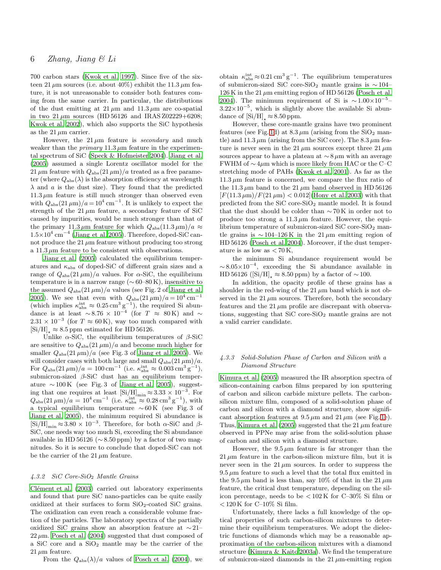700 carbon stars [\(Kwok et al. 1997](#page-8-38)). Since five of the sixteen 21  $\mu$ m sources (i.e. about 40%) exhibit the 11.3  $\mu$ m feature, it is not unreasonable to consider both features coming from the same carrier. In particular, the distributions of the dust emitting at  $21 \mu m$  and  $11.3 \mu m$  are co-spatial in two  $21 \mu m$  sources (HD 56126 and IRAS Z02229+6208; [Kwok et al. 2002\)](#page-8-14), which also supports the SiC hypothesis as the  $21 \mu m$  carrier.

However, the  $21 \mu m$  feature is *secondary* and much weaker than the *primary* 11.3  $\mu$ m feature in the experimental spectrum of SiC [\(Speck & Hofmeister 2004](#page-8-9)). [Jiang et al.](#page-8-26) [\(2005](#page-8-26)) assumed a single Lorentz oscillator model for the 21  $\mu$ m feature with  $Q_{\rm abs}(21 \,\mu\text{m})/a$  treated as a free parameter (where  $Q_{\text{abs}}(\lambda)$  is the absorption efficiency at wavelength  $\lambda$  and a is the dust size). They found that the predicted  $11.3 \mu m$  feature is still much stronger than observed even with  $Q_{\text{abs}}(21 \,\mu\text{m})/a = 10^4 \text{ cm}^{-1}$ . It is unlikely to expect the strength of the  $21 \mu m$  feature, a secondary feature of SiC caused by impurities, would be much stronger than that of the primary 11.3  $\mu$ m feature for which  $Q_{\text{abs}}(11.3 \,\mu\text{m})/a \approx$  $1.5\times10^4~\mathrm{cm^{-4}}$  [\(Jiang et al. 2005\)](#page-8-26). Therefore, doped-SiC cannot produce the 21  $\mu$ m feature without producing too strong a 11.3  $\mu$ m feature to be consistent with observations.

[Jiang et al. \(2005](#page-8-26)) calculated the equilibrium temperatures and  $\kappa_{\rm abs}$  of doped-SiC of different grain sizes and a range of  $Q_{\text{abs}}(21 \,\mu\text{m})/a$  values. For  $\alpha$ -SiC, the equilibrium temperature is in a narrow range  $(\sim 60-80 \text{ K})$ , insensitive to the assumed  $Q_{\rm abs}(21 \,\mu\rm m)/a$  values (see Fig. 2 of [Jiang et al.](#page-8-26) [2005](#page-8-26)). We see that even with  $Q_{\text{abs}}(21 \,\mu\text{m})/a = 10^4 \text{ cm}^{-1}$ (which implies  $\kappa_{\text{abs}}^{\text{int}} \approx 0.25 \,\text{cm}^3 \,\text{g}^{-1}$ ), the required Si abundance is at least  $\sim 8.76 \times 10^{-4}$  (for  $T \approx 80 \,\text{K}$ ) and  $\sim$  $2.31 \times 10^{-3}$  (for  $T \approx 60$  K), way too much compared with  $[Si/H]$ <sub>⊥</sub> ≈ 8.5 ppm estimated for HD 56126.

Unlike  $\alpha$ -SiC, the equilibrium temperatures of  $\beta$ -SiC are sensitive to  $Q_{\text{abs}}(21 \,\mu\text{m})/a$  and become much higher for smaller  $Q_{\text{abs}}(21 \,\mu\text{m})/a$  (see Fig. 3 of [Jiang et al. 2005\)](#page-8-26). We will consider cases with both large and small  $Q_{\rm abs}(21 \,\mu\rm m)/a$ . For  $Q_{\text{abs}}(21 \,\mu\text{m})/a = 100 \text{ cm}^{-1}$  (i.e.  $\kappa_{\text{abs}}^{\text{int}} \approx 0.003 \text{ cm}^3 \text{ g}^{-1}$ ), submicron-sized  $\beta$ -SiC dust has an equilibrium temperature  $\sim 100 \,\mathrm{K}$  (see Fig. 3 of [Jiang et al. 2005\)](#page-8-26), suggesting that one requires at least  $[Si/H]_{min} \approx 3.33 \times 10^{-3}$ . For  $Q_{\rm abs}(21 \,\mu\rm m)/a = 10^4 \,\rm cm^{-1}$  (i.e.  $\kappa_{\rm abs}^{\rm int} \approx 0.28 \,\rm cm^3 \, g^{-1}$ ), with a typical equilibrium temperature  $\sim 60 \,\mathrm{K}$  (see Fig. 3 of [Jiang et al. 2005\)](#page-8-26), the minimum required Si abundance is [Si/H]<sub>min</sub> ≈ 3.80 × 10<sup>-3</sup>. Therefore, for both  $\alpha$ -SiC and  $\beta$ -SiC, one needs way too much Si, exceeding the Si abundance available in HD 56126 ( $\sim$  8.50 ppm) by a factor of two magnitudes. So it is secure to conclude that doped-SiC can not be the carrier of the 21  $\mu$ m feature.

#### 4.3.2 SiC Core-SiO<sup>2</sup> Mantle Grains

Clément et al. (2003) carried out laboratory experiments and found that pure SiC nano-particles can be quite easily oxidized at their surfaces to form  $SiO<sub>2</sub>$ -coated SiC grains. The oxidization can even reach a considerable volume fraction of the particles. The laboratory spectra of the partially oxidized SiC grains show an absorption feature at ∼ 21–  $22 \mu m$ . [Posch et al. \(2004](#page-8-0)) suggested that dust composed of a SiC core and a  $SiO<sub>2</sub>$  mantle may be the carrier of the  $21 \mu m$  feature.

From the  $Q_{\text{abs}}(\lambda)/a$  values of [Posch et al. \(2004](#page-8-0)), we

obtain  $\kappa_{\rm abs}^{\rm int} \approx 0.21 \,\rm cm^3\,g^{-1}$ . The equilibrium temperatures of submicron-sized SiC core-SiO<sub>2</sub> mantle grains is  $\sim$  104–  $126$  K in the 21  $\mu$ m emitting region of HD 56126 [\(Posch et al.](#page-8-0) [2004](#page-8-0)). The minimum requirement of Si is  $\sim 1.00 \times 10^{-5}$  $3.22\times10^{-5}$ , which is slightly above the available Si abundance of  $[Si/H]$ <sub>+</sub>  $\approx 8.50$  ppm.

However, these core-mantle grains have two prominent features (see Fig. [1d](#page-9-0)) at  $8.3 \mu m$  (arising from the  $SiO<sub>2</sub>$  mantle) and 11.3  $\mu$ m (arising from the SiC core). The 8.3  $\mu$ m feature is never seen in the 21  $\mu$ m sources except three 21  $\mu$ m sources appear to have a plateau at  $\sim 8 \,\mu m$  with an average FWHM of ∼ 4µm which is more likely from HAC or the C–C stretching mode of PAHs [\(Kwok et al. 2001](#page-8-39)). As far as the  $11.3 \mu m$  feature is concerned, we compare the flux ratio of the 11.3  $\mu$ m band to the 21  $\mu$ m band observed in HD 56126  $[F(11.3 \,\mu\text{m})/F(21 \,\mu\text{m})]$  < 0.012 [\(Hony et al. 2003](#page-8-21)) with that predicted from the  $SiC$  core- $SiO<sub>2</sub>$  mantle model. It is found that the dust should be colder than ∼ 70 K in order not to produce too strong a  $11.3 \mu m$  feature. However, the equilibrium temperature of submicron-sized SiC core-SiO<sub>2</sub> mantle grains is  $\sim$  104–126 K in the 21 µm emitting region of HD 56126 [\(Posch et al. 2004](#page-8-0)). Moreover, if the dust temperature is as low as  $< 70 \text{ K}$ ,

the minimum Si abundance requirement would be  $\sim 8.05 \times 10^{-4}$ , exceeding the Si abundance available in HD 56126 ( $[Si/H]$ <sub>→</sub> ≈ 8.50 ppm) by a factor of ~100.

In addition, the opacity profile of these grains has a shoulder in the red-wing of the 21  $\mu$ m band which is not observed in the  $21 \mu m$  sources. Therefore, both the secondary features and the 21  $\mu$ m profile are discrepant with observations, suggesting that SiC core-SiO<sup>2</sup> mantle grains are not a valid carrier candidate.

# 4.3.3 Solid-Solution Phase of Carbon and Silicon with a Diamond Structure

[Kimura et al.](#page-8-10) [\(2005\)](#page-8-10) measured the IR absorption spectra of silicon-containing carbon films prepared by ion sputtering of carbon and silicon carbide mixture pellets. The carbonsilicon mixture film, composed of a solid-solution phase of carbon and silicon with a diamond structure, show significant absorption features at  $9.5 \mu m$  and  $21 \mu m$  (see Fig. [1e](#page-9-0)). Thus, [Kimura et al. \(2005\)](#page-8-10) suggested that the 21  $\mu$ m feature observed in PPNe may arise from the solid-solution phase of carbon and silicon with a diamond structure.

However, the  $9.5 \mu m$  feature is far stronger than the  $21 \mu m$  feature in the carbon-silicon mixture film, but it is never seen in the  $21 \mu m$  sources. In order to suppress the  $9.5 \mu m$  feature to such a level that the total flux emitted in the 9.5  $\mu$ m band is less than, say 10% of that in the 21  $\mu$ m feature, the critical dust temperature, depending on the silicon percentage, needs to be  $\rm < 102 K$  for C–30% Si film or  $<$  120 K for C-10% Si film.

Unfortunately, there lacks a full knowledge of the optical properties of such carbon-silicon mixtures to determine their equilibrium temperatures. We adopt the dielectric functions of diamonds which may be a reasonable approximation of the carbon-silicon mixtures with a diamond structure [\(Kimura & Kaito 2003a\)](#page-8-40). We find the temperature of submicron-sized diamonds in the  $21 \mu$ m-emitting region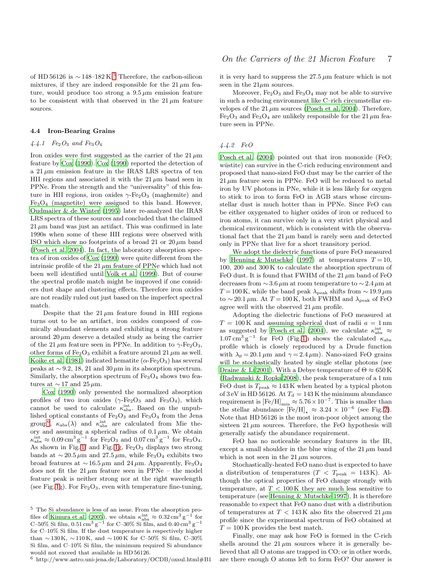of HD [5](#page-6-0)6126 is  $\sim$  148–182 K.<sup>5</sup> Therefore, the carbon-silicon mixtures, if they are indeed responsible for the  $21 \mu m$  feature, would produce too strong a  $9.5 \mu m$  emission feature to be consistent with that observed in the  $21 \mu m$  feature sources.

# 4.4 Iron-Bearing Grains

# 4.4.1  $Fe<sub>2</sub>O<sub>3</sub>$  and  $Fe<sub>3</sub>O<sub>4</sub>$

Iron oxides were first suggested as the carrier of the  $21 \mu m$ feature by [Cox](#page-7-1) [\(1990\)](#page-7-1). [Cox \(1990](#page-7-1)) reported the detection of a  $21 \mu m$  emission feature in the IRAS LRS spectra of ten HII regions and associated it with the  $21 \mu m$  band seen in PPNe. From the strength and the "universality" of this feature in HII regions, iron oxides  $\gamma$ -Fe<sub>2</sub>O<sub>3</sub> (maghemite) and  $Fe<sub>3</sub>O<sub>4</sub>$  (magnetite) were assigned to this band. However, [Oudmaijer & de Winter \(1995](#page-8-41)) later re-analyzed the IRAS LRS spectra of these sources and concluded that the claimed  $21 \mu m$  band was just an artifact. This was confirmed in late 1990s when some of these HII regions were observed with ISO which show no footprints of a broad 21 or  $20 \mu m$  band [\(Posch et al. 2004\)](#page-8-0). In fact, the laboratory absorption spectra of iron oxides of [Cox \(1990\)](#page-7-1) were quite different from the intrinsic profile of the 21  $\mu$ m feature of PPNe which had not been well identified until [Volk et al. \(1999](#page-8-42)). But of course the spectral profile match might be improved if one considers dust shape and clustering effects. Therefore iron oxides are not readily ruled out just based on the imperfect spectral match.

Despite that the  $21 \mu m$  feature found in HII regions turns out to be an artifact, iron oxides composed of cosmically abundant elements and exhibiting a strong feature around  $20 \mu m$  deserve a detailed study as being the carrier of the 21  $\mu$ m feature seen in PPNe. In addition to  $\gamma$ -Fe<sub>2</sub>O<sub>3</sub>, other forms of Fe<sub>2</sub>O<sub>3</sub> exhibit a feature around 21  $\mu$ m as well. [Koike et al. \(1981\)](#page-8-43) indicated hematite ( $\alpha$ -Fe<sub>2</sub>O<sub>3</sub>) has several peaks at  $\sim$  9.2, 18, 21 and 30  $\mu$ m in its absorption spectrum. Similarly, the absorption spectrum of  $Fe<sub>3</sub>O<sub>4</sub>$  shows two features at  $\sim$  17 and 25  $\mu$ m.

[Cox \(1990](#page-7-1)) only presented the normalized absorption profiles of two iron oxides  $(\gamma$ -Fe<sub>2</sub>O<sub>3</sub> and Fe<sub>3</sub>O<sub>4</sub>), which cannot be used to calculate  $\kappa_{\rm abs}^{\rm int}$ . Based on the unpublished optical constants of  $Fe<sub>2</sub>O<sub>3</sub>$  and  $Fe<sub>3</sub>O<sub>4</sub>$  from the Jena group<sup>[6](#page-6-1)</sup>,  $\kappa_{\text{abs}}(\lambda)$  and  $\kappa_{\text{abs}}^{\text{int}}$  are calculated from Mie theory and assuming a spherical radius of  $0.1 \mu$ m. We obtain  $\kappa_{\rm abs}^{\rm int} \approx 0.09 \,\rm cm^3 \, g^{-1}$  for Fe<sub>2</sub>O<sub>3</sub> and 0.07 cm<sup>3</sup> g<sup>-1</sup> for Fe<sub>3</sub>O<sub>4</sub>. As shown in Fig. [1f](#page-9-0) and Fig. [1g](#page-9-0),  $Fe<sub>2</sub>O<sub>3</sub>$  displays two strong bands at  $\sim 20.5 \,\mu \text{m}$  and 27.5  $\mu \text{m}$ , while Fe<sub>3</sub>O<sub>4</sub> exhibits two broad features at  $\sim$  16.5  $\mu$ m and 24  $\mu$ m. Apparently, Fe<sub>3</sub>O<sub>4</sub> does not fit the  $21 \mu m$  feature seen in PPNe – the model feature peak is neither strong nor at the right wavelength (see Fig. [1g](#page-9-0)). For  $Fe<sub>2</sub>O<sub>3</sub>$ , even with temperature fine-tuning,

it is very hard to suppress the  $27.5 \mu m$  feature which is not seen in the  $21\mu$ m sources.

Moreover,  $Fe<sub>2</sub>O<sub>3</sub>$  and  $Fe<sub>3</sub>O<sub>4</sub>$  may not be able to survive in such a reducing environment like C–rich circumstellar envelopes of the  $21 \mu m$  sources [\(Posch et al. 2004\)](#page-8-0). Therefore,  $Fe<sub>2</sub>O<sub>3</sub>$  and  $Fe<sub>3</sub>O<sub>4</sub>$  are unlikely responsible for the 21  $\mu$ m feature seen in PPNe.

### 4.4.2 FeO

[Posch et al. \(2004](#page-8-0)) pointed out that iron monoxide (FeO; wüstite) can survive in the C-rich reducing environment and proposed that nano-sized FeO dust may be the carrier of the  $21 \mu m$  feature seen in PPNe. FeO will be reduced to metal iron by UV photons in PNe, while it is less likely for oxygen to stick to iron to form FeO in AGB stars whose circumstellar dust is much hotter than in PPNe. Since FeO can be either oxygenated to higher oxides of iron or reduced to iron atoms, it can survive only in a very strict physical and chemical environment, which is consistent with the observational fact that the  $21 \mu m$  band is rarely seen and detected only in PPNe that live for a short transitory period.

We adopt the dielectric functions of pure FeO measured by [Henning & Mutschke \(1997](#page-8-44)) at temperatures  $T = 10$ , 100, 200 and 300 K to calculate the absorption spectrum of FeO dust. It is found that FWHM of the 21  $\mu$ m band of FeO decreases from ∼ 3.6 µm at room temperature to ∼ 2.4 µm at T = 100 K, while the band peak  $\lambda_{\text{peak}}$  shifts from ~ 19.9 µm to ∼20.1  $\mu$ m. At T = 100 K, both FWHM and  $\lambda$ <sub>peak</sub> of FeO agree well with the observed  $21 \mu m$  profile.

Adopting the dielectric functions of FeO measured at  $T = 100 \text{ K}$  and assuming spherical dust of radii  $a = 1 \text{ nm}$ as suggested by [Posch et al. \(2004](#page-8-0)), we calculate  $\kappa_{\rm abs}^{\rm int} \approx$  $1.07 \text{ cm}^3 \text{ g}^{-1}$  for FeO (Fig. [1h](#page-9-0) shows the calculated  $\kappa_{\text{abs}}$ profile which is closely reproduced by a Drude function with  $\lambda_p = 20.1 \,\mu\text{m}$  and  $\gamma = 2.4 \,\mu\text{m}$ ). Nano-sized FeO grains will be stochastically heated by single stellar photons (see [Draine & Li 2001](#page-7-6)). With a Debye temperature of  $\Theta \approx 650 \,\mathrm{K}$ [\(Radwanski & Ropka 2008\)](#page-8-45), the peak temperature of a 1 nm FeO dust is  $T_{\text{peak}} \approx 143 \,\text{K}$  when heated by a typical photon of 3 eV in HD 56126. At  $T_d = 143$  K the minimum abundance requirement is  $[Fe/H]_{min} \approx 5.76 \times 10^{-7}$ . This is smaller than the stellar abundance  $[Fe/H]_{\star} \approx 3.24 \times 10^{-6}$  (see Fig. [2\)](#page-10-0). Note that HD 56126 is the most iron-poor object among the sixteen  $21 \mu m$  sources. Therefore, the FeO hypothesis will generally satisfy the abundance requirement.

FeO has no noticeable secondary features in the IR, except a small shoulder in the blue wing of the  $21 \mu m$  band which is not seen in the  $21 \mu m$  sources.

Stochastically-heated FeO nano dust is expected to have a distribution of temperatures ( $T < T_{\text{peak}} = 143 \text{ K}$ ). Although the optical properties of FeO change strongly with temperature, at  $T < 100 \text{ K}$  they are much less sensitive to temperature (see [Henning & Mutschke 1997](#page-8-44)). It is therefore reasonable to expect that FeO nano dust with a distribution of temperatures at  $T < 143$  K also fits the observed 21  $\mu$ m profile since the experimental spectrum of FeO obtained at  $T = 100$  K provides the best match.

Finally, one may ask how FeO is formed in the C-rich shells around the 21  $\mu$ m sources where it is generally believed that all O atoms are trapped in CO; or in other words, are there enough O atoms left to form FeO? Our answer is

<span id="page-6-0"></span><sup>5</sup> The Si abundance is less of an issue. From the absorption pro-files of [Kimura et al. \(2005\)](#page-8-10), we obtain  $\kappa_{\rm abs}^{\rm int} \approx 0.32 \,\rm cm^3 \, g^{-1}$  for C–50% Si film,  $0.51 \text{ cm}^3 \text{ g}^{-1}$  for C–30% Si film, and  $0.40 \text{ cm}^3 \text{ g}^{-1}$ for C–10% Si film. If the dust temperature is respectively higher than  $\sim$  130 K,  $\sim$  110 K, and  $\sim$  100 K for C–50% Si film, C–30% Si film, and C–10% Si film, the minimum required Si abundance would not exceed that available in HD 56126.

<span id="page-6-1"></span> $6$  http://www.astro.uni-jena.de/Laboratory/OCDB/oxsul.html#B1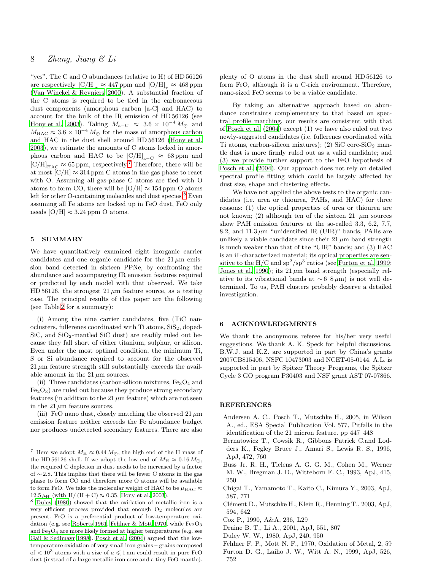"yes". The C and O abundances (relative to H) of HD 56126 are respectively  $\text{[C/H]}_{\perp} \approx 447 \text{ ppm}$  and  $\text{[O/H]}_{\perp} \approx 468 \text{ ppm}$ [\(Van Winckel & Reyniers 2000\)](#page-8-22). A substantial fraction of the C atoms is required to be tied in the carbonaceous dust components (amorphous carbon [a-C] and HAC) to account for the bulk of the IR emission of HD 56126 (see [Hony et al. 2003\)](#page-8-21). Taking  $M_{a-C} \approx 3.6 \times 10^{-4} M_{\odot}$  and  $M_{\rm HAC} \approx 3.6 \times 10^{-4} \, M_\odot$  for the mass of amorphous carbon and HAC in the dust shell around HD 56126 [\(Hony et al.](#page-8-21) [2003](#page-8-21)), we estimate the amounts of C atoms locked in amorphous carbon and HAC to be  $\text{[C/H]}_{a-C} \approx 68 \,\text{ppm}$  and  $\text{[C/H]}_{\text{HAC}} \approx 65$  ppm, respectively.<sup>[7](#page-7-8)</sup> Therefore, there will be at most  $\text{[C/H]} \approx 314 \,\text{ppm}$  C atoms in the gas phase to react with O. Assuming all gas-phase C atoms are tied with O atoms to form CO, there will be  $[O/H] \approx 154$  ppm O atoms left for other O-containing molecules and dust species.<sup>[8](#page-7-9)</sup> Even assuming all Fe atoms are locked up in FeO dust, FeO only needs [O/H]  $\approx 3.24$  ppm O atoms.

# <span id="page-7-3"></span>5 SUMMARY

We have quantitatively examined eight inorganic carrier candidates and one organic candidate for the  $21 \mu m$  emission band detected in sixteen PPNe, by confronting the abundance and accompanying IR emission features required or predicted by each model with that observed. We take HD 56126, the strongest  $21 \mu m$  feature source, as a testing case. The principal results of this paper are the following (see Table [2](#page-11-1) for a summary):

(i) Among the nine carrier candidates, five (TiC nanoclusters, fullerenes coordinated with  $Ti$  atoms,  $SiS<sub>2</sub>$ , doped-SiC, and  $SiO<sub>2</sub>$ -mantled SiC dust) are readily ruled out because they fall short of either titanium, sulphur, or silicon. Even under the most optimal condition, the minimum Ti, S or Si abundance required to account for the observed  $21 \mu m$  feature strength still substantially exceeds the available amount in the 21  $\mu$ m sources.

(ii) Three candidates (carbon-silicon mixtures,  $Fe<sub>3</sub>O<sub>4</sub>$  and  $Fe<sub>2</sub>O<sub>3</sub>$  are ruled out because they produce strong secondary features (in addition to the 21  $\mu$ m feature) which are not seen in the 21  $\mu$ m feature sources.

(iii) FeO nano dust, closely matching the observed  $21 \mu m$ emission feature neither exceeds the Fe abundance budget nor produces undetected secondary features. There are also

<span id="page-7-9"></span><sup>8</sup> [Duley \(1980\)](#page-7-10) showed that the oxidation of metallic iron is a very efficient process provided that enough O<sup>2</sup> molecules are present. FeO is a preferential product of low-temperature oxi-dation (e.g. see [Roberts 1961](#page-8-46), [Fehlner & Mott 1970](#page-7-11), while  $Fe<sub>2</sub>O<sub>3</sub>$ and Fe3O<sup>4</sup> are more likely formed at higher temperatures (e.g. see [Gail & Sedlmayr 1998](#page-8-47)). [Posch et al. \(2004\)](#page-8-0) argued that the lowtemperature oxidation of very small iron grains – grains composed of  $\langle 10^3 \text{ atoms with a size of } a \leq 1 \text{ nm could result in pure FeO}$ dust (instead of a large metallic iron core and a tiny FeO mantle).

plenty of O atoms in the dust shell around HD 56126 to form FeO, although it is a C-rich environment. Therefore, nano-sized FeO seems to be a viable candidate.

By taking an alternative approach based on abundance constraints complementary to that based on spectral profile matching, our results are consistent with that of [Posch et al. \(2004](#page-8-0)) except (1) we have also ruled out two newly-suggested candidates (i.e. fullerenes coordinated with Ti atoms, carbon-silicon mixtures); (2) SiC core-Si $O_2$  mantle dust is more firmly ruled out as a valid candidate; and (3) we provide further support to the FeO hypothesis of [Posch et al. \(2004\)](#page-8-0). Our approach does not rely on detailed spectral profile fitting which could be largely affected by dust size, shape and clustering effects.

We have not applied the above tests to the organic candidates (i.e. urea or thiourea, PAHs, and HAC) for three reasons: (1) the optical properties of urea or thiourea are not known; (2) although ten of the sixteen 21  $\mu$ m sources show PAH emission features at the so-called 3.3, 6.2, 7.7, 8.2, and  $11.3 \mu m$  "unidentified IR (UIR)" bands, PAHs are unlikely a viable candidate since their  $21 \mu m$  band strength is much weaker than that of the "UIR" bands; and (3) HAC is an ill-characterized material; its optical properties are sensitive to the H/C and  $sp^2/sp^3$  ratios (see [Furton et al. 1999](#page-7-12); [Jones et al. 1990](#page-8-48)); its  $21 \mu m$  band strength (especially relative to its vibrational bands at  $\sim$  6–8  $\mu$ m) is not well determined. To us, PAH clusters probably deserve a detailed investigation.

# 6 ACKNOWLEDGMENTS

We thank the anonymous referee for his/her very useful suggestions. We thank A. K. Speck for helpful discussions. B.W.J. and K.Z. are supported in part by China's grants 2007CB815406, NSFC 10473003 and NCET-05-0144. A.L. is supported in part by Spitzer Theory Programs, the Spitzer Cycle 3 GO program P30403 and NSF grant AST 07-07866.

# **REFERENCES**

- <span id="page-7-0"></span>Andersen A. C., Posch T., Mutschke H., 2005, in Wilson A., ed., ESA Special Publication Vol. 577, Pitfalls in the identification of the 21 micron feature. pp 447–448
- <span id="page-7-4"></span>Bernatowicz T., Cowsik R., Gibbons Patrick C.and Lodders K., Fegley Bruce J., Amari S., Lewis R. S., 1996, ApJ, 472, 760
- <span id="page-7-2"></span>Buss Jr. R. H., Tielens A. G. G. M., Cohen M., Werner M. W., Bregman J. D., Witteborn F. C., 1993, ApJ, 415, 250
- <span id="page-7-5"></span>Chigai T., Yamamoto T., Kaito C., Kimura Y., 2003, ApJ, 587, 771
- <span id="page-7-7"></span>Clément D., Mutschke H., Klein R., Henning T., 2003, ApJ, 594, 642
- <span id="page-7-1"></span>Cox P., 1990, A&A, 236, L29
- <span id="page-7-6"></span>Draine B. T., Li A., 2001, ApJ, 551, 807
- <span id="page-7-10"></span>Duley W. W., 1980, ApJ, 240, 950
- <span id="page-7-11"></span>Fehlner F. P., Mott N. F., 1970, Oxidation of Metal, 2, 59
- <span id="page-7-12"></span>Furton D. G., Laiho J. W., Witt A. N., 1999, ApJ, 526, 752

<span id="page-7-8"></span><sup>&</sup>lt;sup>7</sup> Here we adopt  $M_H \approx 0.44 M_{\odot}$ , the high end of the H mass of the HD 56126 shell. If we adopt the low end of  $M_H \approx 0.16 M_{\odot}$ , the required C depletion in dust needs to be increased by a factor of ∼ 2.8. This implies that there will be fewer C atoms in the gas phase to form CO and therefore more O atoms will be available to form FeO. We take the molecular weight of HAC to be  $\mu_{\text{HAC}} \approx$  $12.5 \,\mu$ H (with H/ (H + C)  $\approx 0.35$ , [Hony et al. 2003\)](#page-8-21).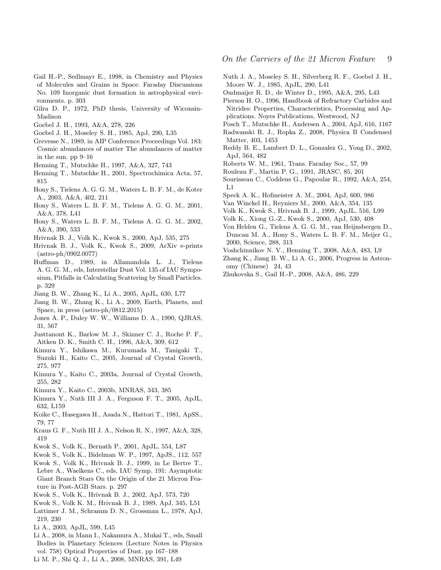- <span id="page-8-47"></span>Gail H.-P., Sedlmayr E., 1998, in Chemistry and Physics of Molecules and Grains in Space. Faraday Discussions No. 109 Inorganic dust formation in astrophysical environments. p. 303
- <span id="page-8-37"></span>Gilra D. P., 1972, PhD thesis, University of Wiconsin-Madison
- <span id="page-8-8"></span>Goebel J. H., 1993, A&A, 278, 226
- <span id="page-8-23"></span>Goebel J. H., Moseley S. H., 1985, ApJ, 290, L35
- <span id="page-8-27"></span>Grevesse N., 1989, in AIP Conference Proceedings Vol. 183: Cosmic abundances of matter The abundances of matter in the sun. pp 9–16
- <span id="page-8-44"></span>Henning T., Mutschke H., 1997, A&A, 327, 743
- <span id="page-8-28"></span>Henning T., Mutschke H., 2001, Spectrochimica Acta, 57, 815
- <span id="page-8-21"></span>Hony S., Tielens A. G. G. M., Waters L. B. F. M., de Koter A., 2003, A&A, 402, 211
- <span id="page-8-4"></span>Hony S., Waters L. B. F. M., Tielens A. G. G. M., 2001, A&A, 378, L41
- <span id="page-8-24"></span>Hony S., Waters L. B. F. M., Tielens A. G. G. M., 2002, A&A, 390, 533
- <span id="page-8-19"></span>Hrivnak B. J., Volk K., Kwok S., 2000, ApJ, 535, 275
- <span id="page-8-3"></span>Hrivnak B. J., Volk K., Kwok S., 2009, ArXiv e-prints  $(astro-ph/0902.0077)$
- <span id="page-8-15"></span>Huffman D., 1989, in Allamandola L. J., Tielens A. G. G. M., eds, Interstellar Dust Vol. 135 of IAU Symposium, Pitfalls in Calculating Scattering by Small Particles. p. 329
- <span id="page-8-26"></span>Jiang B. W., Zhang K., Li A., 2005, ApJL, 630, L77
- <span id="page-8-25"></span>Jiang B. W., Zhang K., Li A., 2009, Earth, Planets, and Space, in press (astro-ph/0812.2015)
- <span id="page-8-48"></span>Jones A. P., Duley W. W., Williams D. A., 1990, QJRAS, 31, 567
- <span id="page-8-13"></span>Justtanont K., Barlow M. J., Skinner C. J., Roche P. F., Aitken D. K., Smith C. H., 1996, A&A, 309, 612
- <span id="page-8-10"></span>Kimura Y., Ishikawa M., Kurumada M., Tanigaki T., Suzuki H., Kaito C., 2005, Journal of Crystal Growth, 275, 977
- <span id="page-8-40"></span>Kimura Y., Kaito C., 2003a, Journal of Crystal Growth, 255, 282
- <span id="page-8-29"></span>Kimura Y., Kaito C., 2003b, MNRAS, 343, 385
- <span id="page-8-11"></span>Kimura Y., Nuth III J. A., Ferguson F. T., 2005, ApJL, 632, L159
- <span id="page-8-43"></span>Koike C., Hasegawa H., Asada N., Hattori T., 1981, ApSS., 79, 77
- <span id="page-8-34"></span>Kraus G. F., Nuth III J. A., Nelson R. N., 1997, A&A, 328, 419
- <span id="page-8-39"></span>Kwok S., Volk K., Bernath P., 2001, ApJL, 554, L87
- <span id="page-8-38"></span>Kwok S., Volk K., Bidelman W. P., 1997, ApJS., 112, 557
- <span id="page-8-2"></span>Kwok S., Volk K., Hrivnak B. J., 1999, in Le Bertre T., Lebre A., Waelkens C., eds, IAU Symp. 191: Asymptotic Giant Branch Stars On the Origin of the 21 Micron Feature in Post-AGB Stars. p. 297
- <span id="page-8-14"></span>Kwok S., Volk K., Hrivnak B. J., 2002, ApJ, 573, 720
- <span id="page-8-1"></span>Kwok S., Volk K. M., Hrivnak B. J., 1989, ApJ, 345, L51
- <span id="page-8-32"></span>Lattimer J. M., Schramm D. N., Grossman L., 1978, ApJ, 219, 230
- <span id="page-8-30"></span>Li A., 2003, ApJL, 599, L45
- <span id="page-8-20"></span>Li A., 2008, in Mann I., Nakamura A., Mukai T., eds, Small Bodies in Planetary Sciences (Lecture Notes in Physics vol. 758) Optical Properties of Dust. pp 167–188
- <span id="page-8-16"></span>Li M. P., Shi Q. J., Li A., 2008, MNRAS, 391, L49
- <span id="page-8-33"></span>Nuth J. A., Moseley S. H., Silverberg R. F., Goebel J. H., Moore W. J., 1985, ApJL, 290, L41
- <span id="page-8-41"></span>Oudmaijer R. D., de Winter D., 1995, A&A, 295, L43
- <span id="page-8-31"></span>Pierson H. O., 1996, Handbook of Refractory Carbides and Nitrides: Properties, Characteristics, Processing and Applications. Noyes Publications, Westwood, NJ
- <span id="page-8-0"></span>Posch T., Mutschke H., Andersen A., 2004, ApJ, 616, 1167
- <span id="page-8-45"></span>Radwanski R. J., Ropka Z., 2008, Physica B Condensed Matter, 403, 1453
- <span id="page-8-36"></span>Reddy B. E., Lambert D. L., Gonzalez G., Yong D., 2002, ApJ, 564, 482
- <span id="page-8-46"></span>Roberts W. M., 1961, Trans. Faraday Soc., 57, 99
- <span id="page-8-18"></span>Rouleau F., Martin P. G., 1991, JRASC, 85, 201
- <span id="page-8-12"></span>Sourisseau C., Coddens G., Papoular R., 1992, A&A, 254, L1
- <span id="page-8-9"></span>Speck A. K., Hofmeister A. M., 2004, ApJ, 600, 986
- <span id="page-8-22"></span>Van Winckel H., Reyniers M., 2000, A&A, 354, 135
- <span id="page-8-42"></span>Volk K., Kwok S., Hrivnak B. J., 1999, ApJL, 516, L99
- <span id="page-8-5"></span>Volk K., Xiong G.-Z., Kwok S., 2000, ApJ, 530, 408
- <span id="page-8-7"></span>Von Helden G., Tielens A. G. G. M., van Heijnsbergen D., Duncan M. A., Hony S., Waters L. B. F. M., Meijer G., 2000, Science, 288, 313
- <span id="page-8-17"></span>Voshchinnikov N. V., Henning T., 2008, A&A, 483, L9
- <span id="page-8-6"></span>Zhang K., Jiang B. W., Li A. G., 2006, Progress in Astronomy (Chinese) 24, 43
- <span id="page-8-35"></span>Zhukovska S., Gail H.-P., 2008, A&A, 486, 229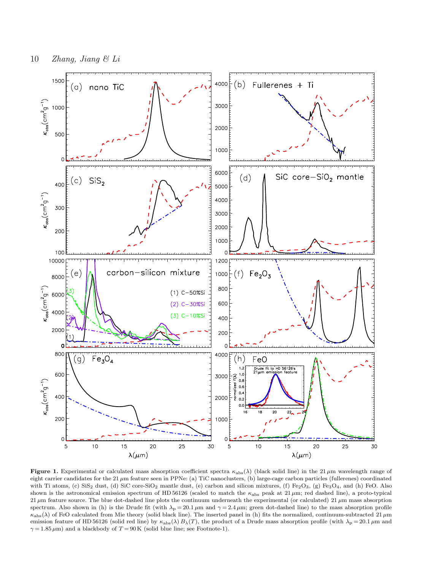

<span id="page-9-0"></span>Figure 1. Experimental or calculated mass absorption coefficient spectra  $\kappa_{\text{abs}}(\lambda)$  (black solid line) in the 21  $\mu$ m wavelength range of eight carrier candidates for the 21  $\mu$ m feature seen in PPNe: (a) TiC nanoclusters, (b) large-cage carbon particles (fullerenes) coordinated with Ti atoms, (c) SiS<sub>2</sub> dust, (d) SiC core-SiO<sub>2</sub> mantle dust, (e) carbon and silicon mixtures, (f) Fe<sub>2</sub>O<sub>3</sub>, (g) Fe<sub>3</sub>O<sub>4</sub>, and (h) FeO. Also shown is the astronomical emission spectrum of HD 56126 (scaled to match the  $\kappa_{\rm abs}$  peak at 21  $\mu$ m; red dashed line), a proto-typical 21  $\mu$ m feature source. The blue dot-dashed line plots the continuum underneath the experimental (or calculated) 21  $\mu$ m mass absorption spectrum. Also shown in (h) is the Drude fit (with  $\lambda_p = 20.1 \,\mu$ m and  $\gamma = 2.4 \,\mu$ m; green dot-dashed line) to the mass absorption profile  $\kappa_{\text{abs}}(\lambda)$  of FeO calculated from Mie theory (solid black line). The inserted panel in (h) fits the normalized, continuum-subtracted 21  $\mu$ m emission feature of HD 56126 (solid red line) by  $\kappa_{\text{abs}}(\lambda) B_{\lambda}(T)$ , the product of a Drude mass absorption profile (with  $\lambda_{\text{p}} = 20.1 \,\mu\text{m}$  and  $\gamma = 1.85 \,\mu\text{m}$ ) and a blackbody of  $T = 90 \,\text{K}$  (solid blue line; see Footnote-1).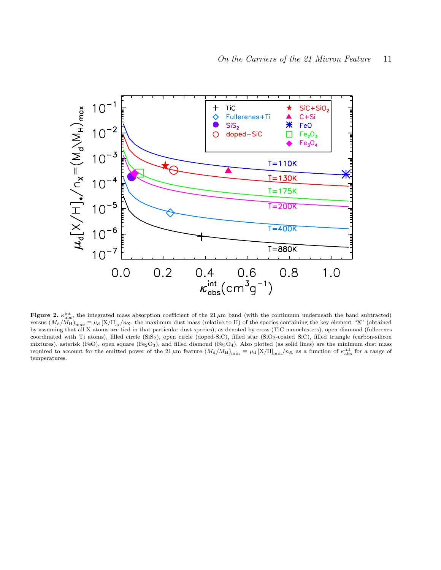

<span id="page-10-0"></span>Figure 2.  $\kappa_{\rm abs}^{\rm int}$ , the integrated mass absorption coefficient of the 21  $\mu$ m band (with the continuum underneath the band subtracted) versus  $(M_d/M_H)_{\text{max}} \equiv \mu_d [X/H]_{\star}/n_X$ , the maximum dust mass (relative to H) of the species containing the key element "X" (obtained by assuming that all X atoms are tied in that particular dust species), as denoted by cross (TiC nanoclusters), open diamond (fullerenes coordinated with Ti atoms), filled circle (SiS2), open circle (doped-SiC), filled star (SiO2-coated SiC), filled triangle (carbon-silicon mixtures), asterisk (FeO), open square (Fe<sub>2</sub>O<sub>3</sub>), and filled diamond (Fe<sub>3</sub>O<sub>4</sub>). Also plotted (as solid lines) are the minimum dust mass required to account for the emitted power of the 21  $\mu$ m feature  $(M_d/M_H)_{min} \equiv \mu_d$  [X/H]<sub>min</sub>/n<sub>X</sub> as a function of  $\kappa_{abs}^{int}$  for a range of temperatures.